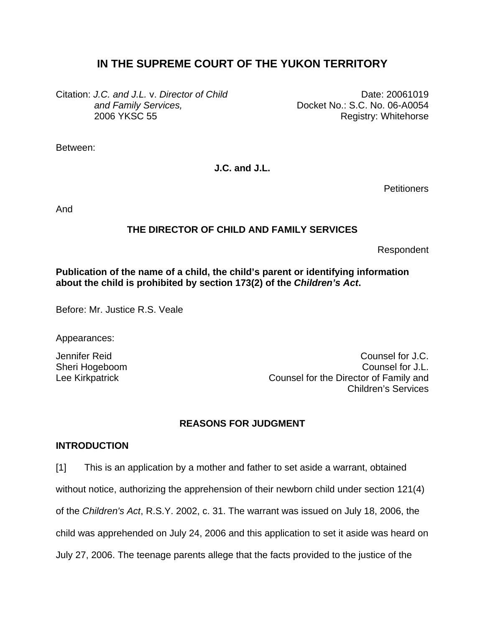# **IN THE SUPREME COURT OF THE YUKON TERRITORY**

Citation: *J.C. and J.L.* v. *Director of Child and Family Services,* 2006 YKSC 55

Date: 20061019 Docket No.: S.C. No. 06-A0054 Registry: Whitehorse

Between:

**J.C. and J.L.** 

**Petitioners** 

And

## **THE DIRECTOR OF CHILD AND FAMILY SERVICES**

Respondent

## **Publication of the name of a child, the child's parent or identifying information about the child is prohibited by section 173(2) of the** *Children's Act***.**

Before: Mr. Justice R.S. Veale

Appearances:

Jennifer Reid Counsel for J.C. Sheri Hogeboom **Counsel for J.L.** Counsel for J.L. Lee Kirkpatrick Counsel for the Director of Family and Children's Services

## **REASONS FOR JUDGMENT**

## **INTRODUCTION**

[1] This is an application by a mother and father to set aside a warrant, obtained

without notice, authorizing the apprehension of their newborn child under section 121(4)

of the *Children's Act*, R.S.Y. 2002, c. 31. The warrant was issued on July 18, 2006, the

child was apprehended on July 24, 2006 and this application to set it aside was heard on

July 27, 2006. The teenage parents allege that the facts provided to the justice of the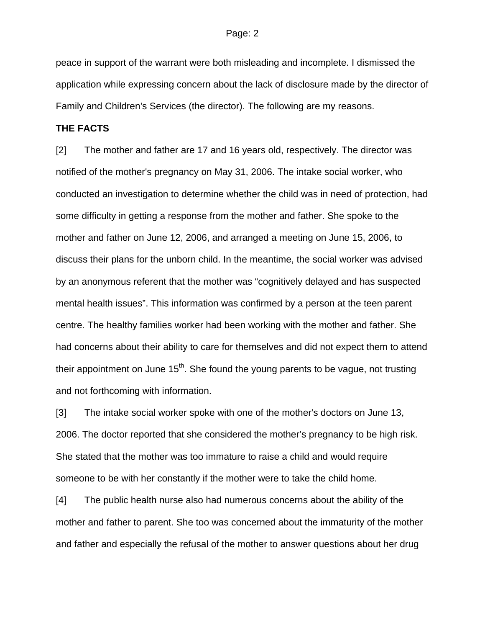peace in support of the warrant were both misleading and incomplete. I dismissed the application while expressing concern about the lack of disclosure made by the director of Family and Children's Services (the director). The following are my reasons.

### **THE FACTS**

[2] The mother and father are 17 and 16 years old, respectively. The director was notified of the mother's pregnancy on May 31, 2006. The intake social worker, who conducted an investigation to determine whether the child was in need of protection, had some difficulty in getting a response from the mother and father. She spoke to the mother and father on June 12, 2006, and arranged a meeting on June 15, 2006, to discuss their plans for the unborn child. In the meantime, the social worker was advised by an anonymous referent that the mother was "cognitively delayed and has suspected mental health issues". This information was confirmed by a person at the teen parent centre. The healthy families worker had been working with the mother and father. She had concerns about their ability to care for themselves and did not expect them to attend their appointment on June  $15<sup>th</sup>$ . She found the young parents to be vague, not trusting and not forthcoming with information.

[3] The intake social worker spoke with one of the mother's doctors on June 13, 2006. The doctor reported that she considered the mother's pregnancy to be high risk. She stated that the mother was too immature to raise a child and would require someone to be with her constantly if the mother were to take the child home.

[4] The public health nurse also had numerous concerns about the ability of the mother and father to parent. She too was concerned about the immaturity of the mother and father and especially the refusal of the mother to answer questions about her drug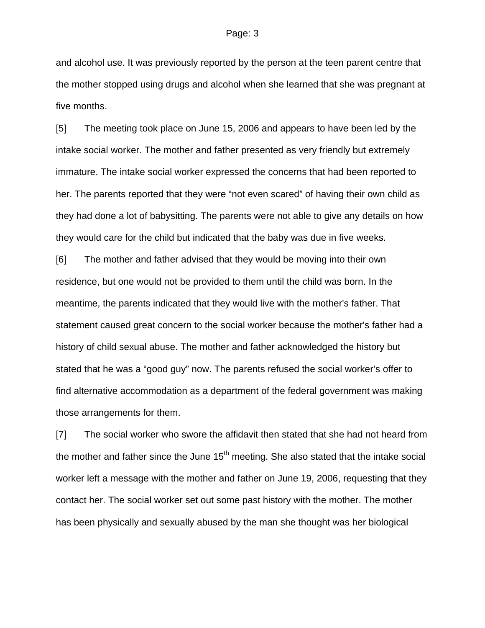and alcohol use. It was previously reported by the person at the teen parent centre that the mother stopped using drugs and alcohol when she learned that she was pregnant at five months.

[5] The meeting took place on June 15, 2006 and appears to have been led by the intake social worker. The mother and father presented as very friendly but extremely immature. The intake social worker expressed the concerns that had been reported to her. The parents reported that they were "not even scared" of having their own child as they had done a lot of babysitting. The parents were not able to give any details on how they would care for the child but indicated that the baby was due in five weeks.

[6] The mother and father advised that they would be moving into their own residence, but one would not be provided to them until the child was born. In the meantime, the parents indicated that they would live with the mother's father. That statement caused great concern to the social worker because the mother's father had a history of child sexual abuse. The mother and father acknowledged the history but stated that he was a "good guy" now. The parents refused the social worker's offer to find alternative accommodation as a department of the federal government was making those arrangements for them.

[7] The social worker who swore the affidavit then stated that she had not heard from the mother and father since the June  $15<sup>th</sup>$  meeting. She also stated that the intake social worker left a message with the mother and father on June 19, 2006, requesting that they contact her. The social worker set out some past history with the mother. The mother has been physically and sexually abused by the man she thought was her biological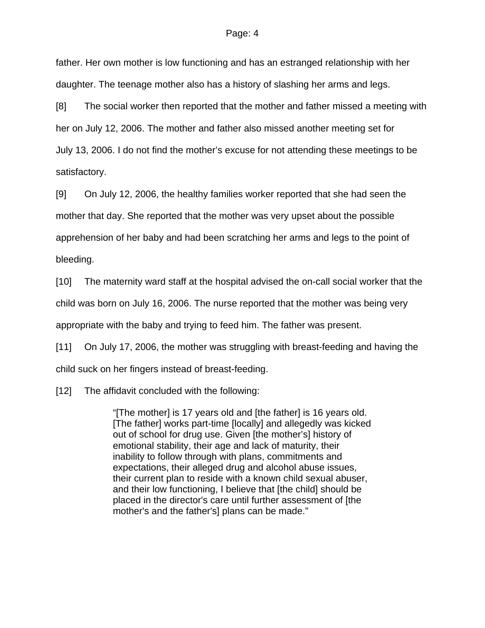father. Her own mother is low functioning and has an estranged relationship with her daughter. The teenage mother also has a history of slashing her arms and legs.

[8] The social worker then reported that the mother and father missed a meeting with her on July 12, 2006. The mother and father also missed another meeting set for July 13, 2006. I do not find the mother's excuse for not attending these meetings to be satisfactory.

[9] On July 12, 2006, the healthy families worker reported that she had seen the mother that day. She reported that the mother was very upset about the possible apprehension of her baby and had been scratching her arms and legs to the point of bleeding.

[10] The maternity ward staff at the hospital advised the on-call social worker that the child was born on July 16, 2006. The nurse reported that the mother was being very appropriate with the baby and trying to feed him. The father was present.

[11] On July 17, 2006, the mother was struggling with breast-feeding and having the child suck on her fingers instead of breast-feeding.

[12] The affidavit concluded with the following:

"[The mother] is 17 years old and [the father] is 16 years old. [The father] works part-time [locally] and allegedly was kicked out of school for drug use. Given [the mother's] history of emotional stability, their age and lack of maturity, their inability to follow through with plans, commitments and expectations, their alleged drug and alcohol abuse issues, their current plan to reside with a known child sexual abuser, and their low functioning, I believe that [the child] should be placed in the director's care until further assessment of [the mother's and the father's] plans can be made."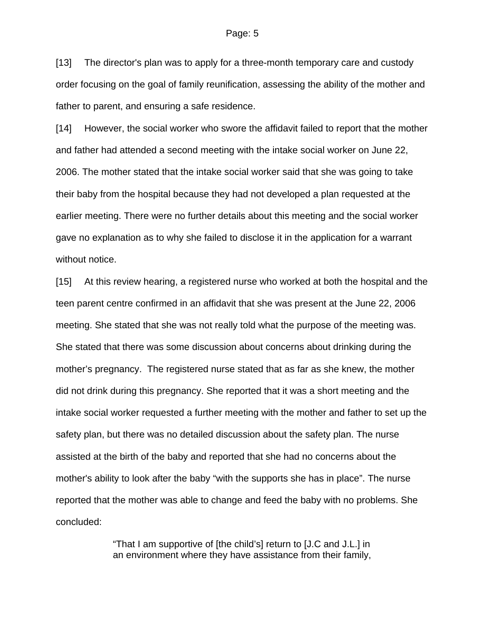[13] The director's plan was to apply for a three-month temporary care and custody order focusing on the goal of family reunification, assessing the ability of the mother and father to parent, and ensuring a safe residence.

[14] However, the social worker who swore the affidavit failed to report that the mother and father had attended a second meeting with the intake social worker on June 22, 2006. The mother stated that the intake social worker said that she was going to take their baby from the hospital because they had not developed a plan requested at the earlier meeting. There were no further details about this meeting and the social worker gave no explanation as to why she failed to disclose it in the application for a warrant without notice.

[15] At this review hearing, a registered nurse who worked at both the hospital and the teen parent centre confirmed in an affidavit that she was present at the June 22, 2006 meeting. She stated that she was not really told what the purpose of the meeting was. She stated that there was some discussion about concerns about drinking during the mother's pregnancy. The registered nurse stated that as far as she knew, the mother did not drink during this pregnancy. She reported that it was a short meeting and the intake social worker requested a further meeting with the mother and father to set up the safety plan, but there was no detailed discussion about the safety plan. The nurse assisted at the birth of the baby and reported that she had no concerns about the mother's ability to look after the baby "with the supports she has in place". The nurse reported that the mother was able to change and feed the baby with no problems. She concluded:

> "That I am supportive of [the child's] return to [J.C and J.L.] in an environment where they have assistance from their family,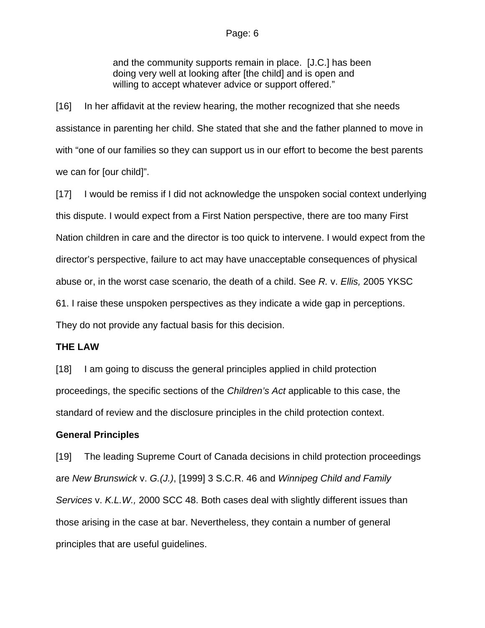and the community supports remain in place. [J.C.] has been doing very well at looking after [the child] and is open and willing to accept whatever advice or support offered."

[16] In her affidavit at the review hearing, the mother recognized that she needs assistance in parenting her child. She stated that she and the father planned to move in with "one of our families so they can support us in our effort to become the best parents we can for [our child]".

[17] I would be remiss if I did not acknowledge the unspoken social context underlying this dispute. I would expect from a First Nation perspective, there are too many First Nation children in care and the director is too quick to intervene. I would expect from the director's perspective, failure to act may have unacceptable consequences of physical abuse or, in the worst case scenario, the death of a child. See *R.* v. *Ellis,* 2005 YKSC 61. I raise these unspoken perspectives as they indicate a wide gap in perceptions. They do not provide any factual basis for this decision.

## **THE LAW**

[18] I am going to discuss the general principles applied in child protection proceedings, the specific sections of the *Children's Act* applicable to this case, the standard of review and the disclosure principles in the child protection context.

## **General Principles**

[19] The leading Supreme Court of Canada decisions in child protection proceedings are *New Brunswick* v. *G.(J.)*, [1999] 3 S.C.R. 46 and *Winnipeg Child and Family Services* v. *K.L.W.,* 2000 SCC 48. Both cases deal with slightly different issues than those arising in the case at bar. Nevertheless, they contain a number of general principles that are useful guidelines.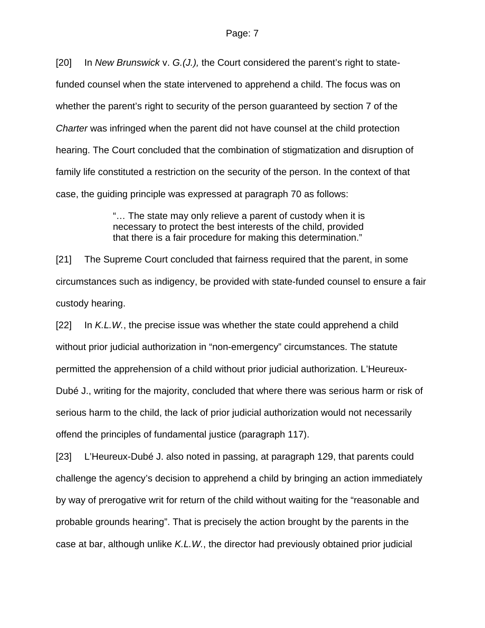[20] In *New Brunswick* v. *G.(J.),* the Court considered the parent's right to statefunded counsel when the state intervened to apprehend a child. The focus was on whether the parent's right to security of the person guaranteed by section 7 of the *Charter* was infringed when the parent did not have counsel at the child protection hearing. The Court concluded that the combination of stigmatization and disruption of family life constituted a restriction on the security of the person. In the context of that case, the guiding principle was expressed at paragraph 70 as follows:

> "… The state may only relieve a parent of custody when it is necessary to protect the best interests of the child, provided that there is a fair procedure for making this determination."

[21] The Supreme Court concluded that fairness required that the parent, in some circumstances such as indigency, be provided with state-funded counsel to ensure a fair custody hearing.

[22] In *K.L.W.*, the precise issue was whether the state could apprehend a child without prior judicial authorization in "non-emergency" circumstances. The statute permitted the apprehension of a child without prior judicial authorization. L'Heureux-Dubé J., writing for the majority, concluded that where there was serious harm or risk of serious harm to the child, the lack of prior judicial authorization would not necessarily offend the principles of fundamental justice (paragraph 117).

[23] L'Heureux-Dubé J. also noted in passing, at paragraph 129, that parents could challenge the agency's decision to apprehend a child by bringing an action immediately by way of prerogative writ for return of the child without waiting for the "reasonable and probable grounds hearing". That is precisely the action brought by the parents in the case at bar, although unlike *K.L.W.*, the director had previously obtained prior judicial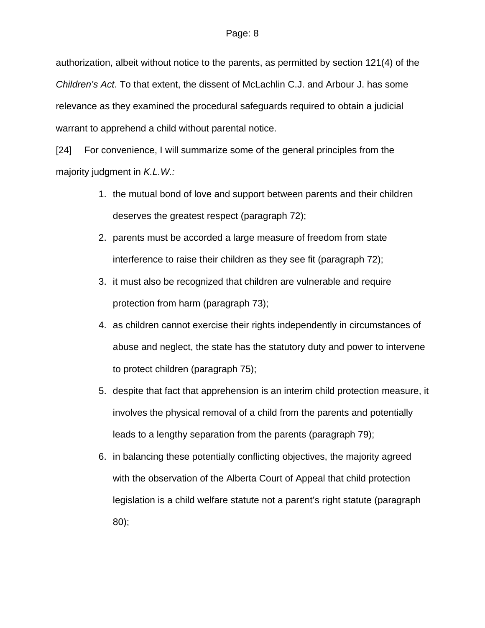authorization, albeit without notice to the parents, as permitted by section 121(4) of the *Children's Act*. To that extent, the dissent of McLachlin C.J. and Arbour J. has some relevance as they examined the procedural safeguards required to obtain a judicial warrant to apprehend a child without parental notice.

[24] For convenience, I will summarize some of the general principles from the majority judgment in *K.L.W.:*

- 1. the mutual bond of love and support between parents and their children deserves the greatest respect (paragraph 72);
- 2. parents must be accorded a large measure of freedom from state interference to raise their children as they see fit (paragraph 72);
- 3. it must also be recognized that children are vulnerable and require protection from harm (paragraph 73);
- 4. as children cannot exercise their rights independently in circumstances of abuse and neglect, the state has the statutory duty and power to intervene to protect children (paragraph 75);
- 5. despite that fact that apprehension is an interim child protection measure, it involves the physical removal of a child from the parents and potentially leads to a lengthy separation from the parents (paragraph 79);
- 6. in balancing these potentially conflicting objectives, the majority agreed with the observation of the Alberta Court of Appeal that child protection legislation is a child welfare statute not a parent's right statute (paragraph 80);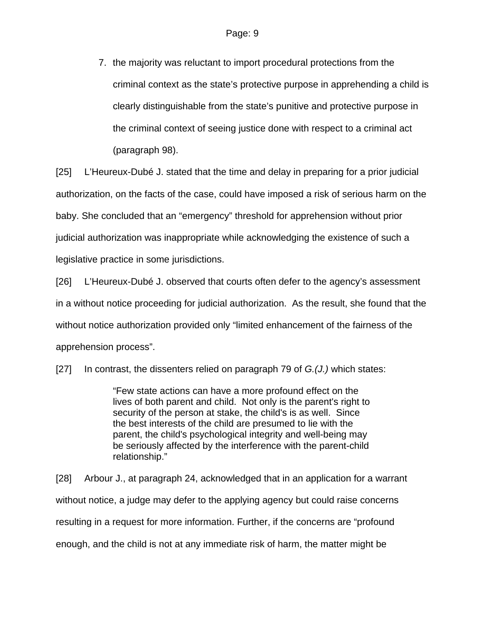7. the majority was reluctant to import procedural protections from the criminal context as the state's protective purpose in apprehending a child is clearly distinguishable from the state's punitive and protective purpose in the criminal context of seeing justice done with respect to a criminal act (paragraph 98).

[25] L'Heureux-Dubé J. stated that the time and delay in preparing for a prior judicial authorization, on the facts of the case, could have imposed a risk of serious harm on the baby. She concluded that an "emergency" threshold for apprehension without prior judicial authorization was inappropriate while acknowledging the existence of such a legislative practice in some jurisdictions.

[26] L'Heureux-Dubé J. observed that courts often defer to the agency's assessment in a without notice proceeding for judicial authorization. As the result, she found that the without notice authorization provided only "limited enhancement of the fairness of the apprehension process".

[27] In contrast, the dissenters relied on paragraph 79 of *G.(J.)* which states:

"Few state actions can have a more profound effect on the lives of both parent and child. Not only is the parent's right to security of the person at stake, the child's is as well. Since the best interests of the child are presumed to lie with the parent, the child's psychological integrity and well-being may be seriously affected by the interference with the parent-child relationship."

[28] Arbour J., at paragraph 24, acknowledged that in an application for a warrant without notice, a judge may defer to the applying agency but could raise concerns resulting in a request for more information. Further, if the concerns are "profound enough, and the child is not at any immediate risk of harm, the matter might be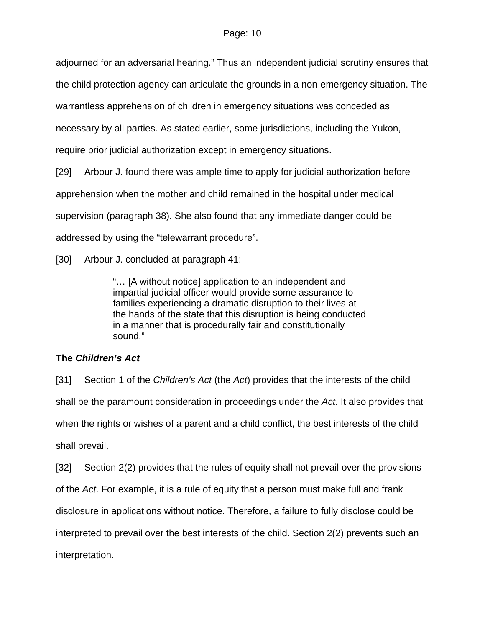adjourned for an adversarial hearing." Thus an independent judicial scrutiny ensures that

the child protection agency can articulate the grounds in a non-emergency situation. The

warrantless apprehension of children in emergency situations was conceded as

necessary by all parties. As stated earlier, some jurisdictions, including the Yukon,

require prior judicial authorization except in emergency situations.

[29] Arbour J. found there was ample time to apply for judicial authorization before apprehension when the mother and child remained in the hospital under medical supervision (paragraph 38). She also found that any immediate danger could be addressed by using the "telewarrant procedure".

[30] Arbour J. concluded at paragraph 41:

"… [A without notice] application to an independent and impartial judicial officer would provide some assurance to families experiencing a dramatic disruption to their lives at the hands of the state that this disruption is being conducted in a manner that is procedurally fair and constitutionally sound."

# **The** *Children's Act*

[31] Section 1 of the *Children's Act* (the *Act*) provides that the interests of the child shall be the paramount consideration in proceedings under the *Act*. It also provides that when the rights or wishes of a parent and a child conflict, the best interests of the child shall prevail.

[32] Section 2(2) provides that the rules of equity shall not prevail over the provisions of the *Act*. For example, it is a rule of equity that a person must make full and frank disclosure in applications without notice. Therefore, a failure to fully disclose could be interpreted to prevail over the best interests of the child. Section 2(2) prevents such an interpretation.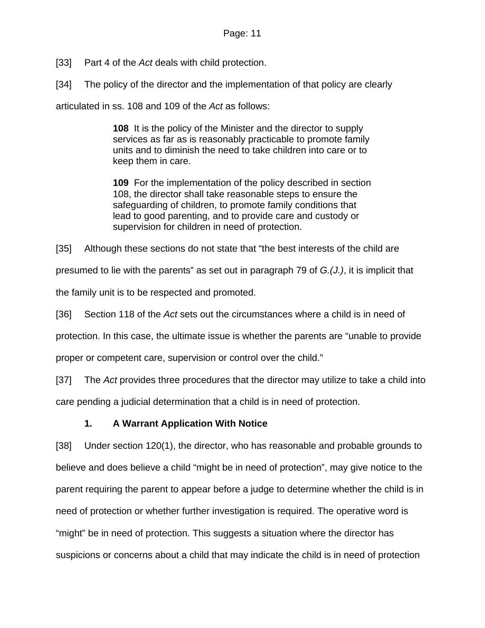[33] Part 4 of the *Act* deals with child protection.

[34] The policy of the director and the implementation of that policy are clearly

articulated in ss. 108 and 109 of the *Act* as follows:

**108** It is the policy of the Minister and the director to supply services as far as is reasonably practicable to promote family units and to diminish the need to take children into care or to keep them in care.

**109** For the implementation of the policy described in section 108, the director shall take reasonable steps to ensure the safeguarding of children, to promote family conditions that lead to good parenting, and to provide care and custody or supervision for children in need of protection.

[35] Although these sections do not state that "the best interests of the child are

presumed to lie with the parents" as set out in paragraph 79 of *G.(J.)*, it is implicit that

the family unit is to be respected and promoted.

[36] Section 118 of the *Act* sets out the circumstances where a child is in need of

protection. In this case, the ultimate issue is whether the parents are "unable to provide

proper or competent care, supervision or control over the child."

[37] The *Act* provides three procedures that the director may utilize to take a child into

care pending a judicial determination that a child is in need of protection.

## **1. A Warrant Application With Notice**

[38] Under section 120(1), the director, who has reasonable and probable grounds to believe and does believe a child "might be in need of protection", may give notice to the parent requiring the parent to appear before a judge to determine whether the child is in need of protection or whether further investigation is required. The operative word is "might" be in need of protection. This suggests a situation where the director has suspicions or concerns about a child that may indicate the child is in need of protection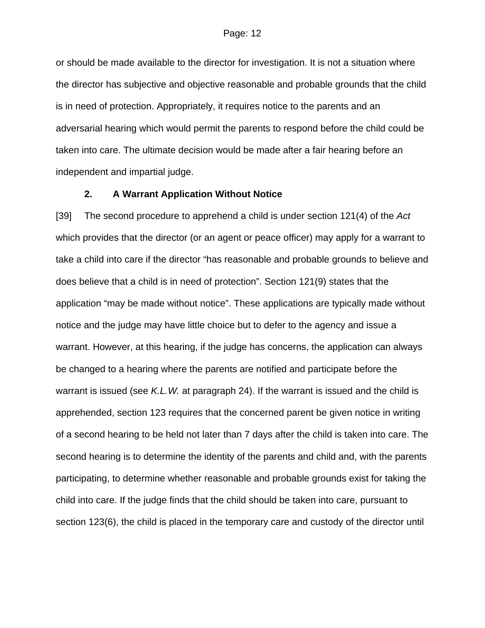or should be made available to the director for investigation. It is not a situation where the director has subjective and objective reasonable and probable grounds that the child is in need of protection. Appropriately, it requires notice to the parents and an adversarial hearing which would permit the parents to respond before the child could be taken into care. The ultimate decision would be made after a fair hearing before an independent and impartial judge.

## **2. A Warrant Application Without Notice**

[39] The second procedure to apprehend a child is under section 121(4) of the *Act* which provides that the director (or an agent or peace officer) may apply for a warrant to take a child into care if the director "has reasonable and probable grounds to believe and does believe that a child is in need of protection". Section 121(9) states that the application "may be made without notice". These applications are typically made without notice and the judge may have little choice but to defer to the agency and issue a warrant. However, at this hearing, if the judge has concerns, the application can always be changed to a hearing where the parents are notified and participate before the warrant is issued (see *K.L.W.* at paragraph 24). If the warrant is issued and the child is apprehended, section 123 requires that the concerned parent be given notice in writing of a second hearing to be held not later than 7 days after the child is taken into care. The second hearing is to determine the identity of the parents and child and, with the parents participating, to determine whether reasonable and probable grounds exist for taking the child into care. If the judge finds that the child should be taken into care, pursuant to section 123(6), the child is placed in the temporary care and custody of the director until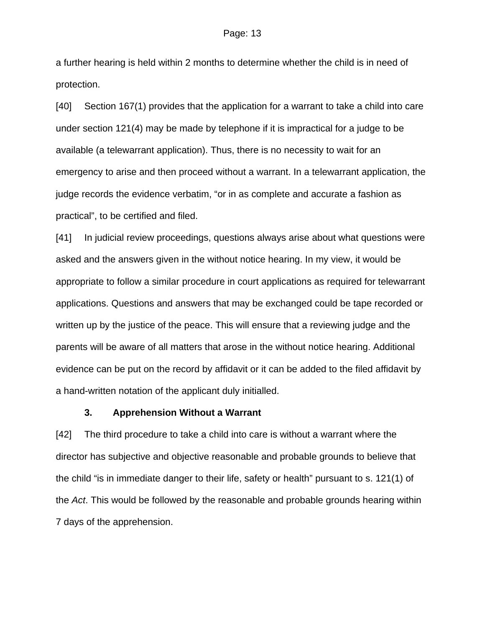a further hearing is held within 2 months to determine whether the child is in need of protection.

[40] Section 167(1) provides that the application for a warrant to take a child into care under section 121(4) may be made by telephone if it is impractical for a judge to be available (a telewarrant application). Thus, there is no necessity to wait for an emergency to arise and then proceed without a warrant. In a telewarrant application, the judge records the evidence verbatim, "or in as complete and accurate a fashion as practical", to be certified and filed.

[41] In judicial review proceedings, questions always arise about what questions were asked and the answers given in the without notice hearing. In my view, it would be appropriate to follow a similar procedure in court applications as required for telewarrant applications. Questions and answers that may be exchanged could be tape recorded or written up by the justice of the peace. This will ensure that a reviewing judge and the parents will be aware of all matters that arose in the without notice hearing. Additional evidence can be put on the record by affidavit or it can be added to the filed affidavit by a hand-written notation of the applicant duly initialled.

### **3. Apprehension Without a Warrant**

[42] The third procedure to take a child into care is without a warrant where the director has subjective and objective reasonable and probable grounds to believe that the child "is in immediate danger to their life, safety or health" pursuant to s. 121(1) of the *Act*. This would be followed by the reasonable and probable grounds hearing within 7 days of the apprehension.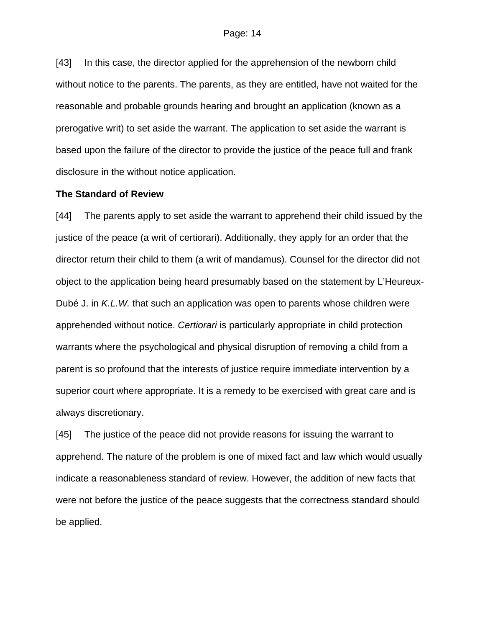[43] In this case, the director applied for the apprehension of the newborn child without notice to the parents. The parents, as they are entitled, have not waited for the reasonable and probable grounds hearing and brought an application (known as a prerogative writ) to set aside the warrant. The application to set aside the warrant is based upon the failure of the director to provide the justice of the peace full and frank disclosure in the without notice application.

### **The Standard of Review**

[44] The parents apply to set aside the warrant to apprehend their child issued by the justice of the peace (a writ of certiorari). Additionally, they apply for an order that the director return their child to them (a writ of mandamus). Counsel for the director did not object to the application being heard presumably based on the statement by L'Heureux-Dubé J. in *K.L.W.* that such an application was open to parents whose children were apprehended without notice. *Certiorari* is particularly appropriate in child protection warrants where the psychological and physical disruption of removing a child from a parent is so profound that the interests of justice require immediate intervention by a superior court where appropriate. It is a remedy to be exercised with great care and is always discretionary.

[45] The justice of the peace did not provide reasons for issuing the warrant to apprehend. The nature of the problem is one of mixed fact and law which would usually indicate a reasonableness standard of review. However, the addition of new facts that were not before the justice of the peace suggests that the correctness standard should be applied.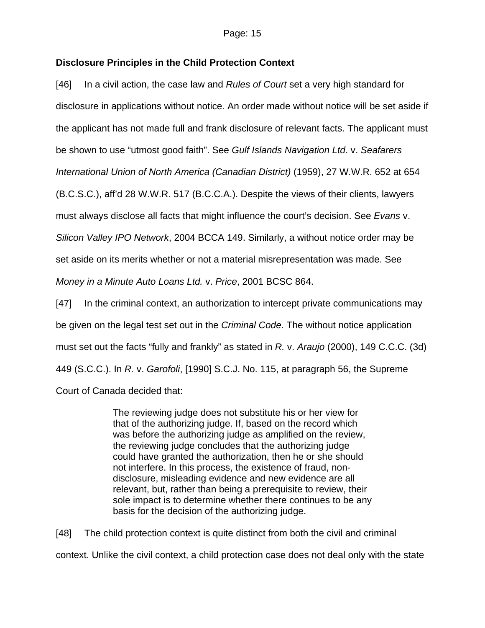## **Disclosure Principles in the Child Protection Context**

[46] In a civil action, the case law and *Rules of Court* set a very high standard for disclosure in applications without notice. An order made without notice will be set aside if the applicant has not made full and frank disclosure of relevant facts. The applicant must be shown to use "utmost good faith". See *Gulf Islands Navigation Ltd*. v. *Seafarers International Union of North America (Canadian District)* (1959), 27 W.W.R. 652 at 654 (B.C.S.C.), aff'd 28 W.W.R. 517 (B.C.C.A.). Despite the views of their clients, lawyers must always disclose all facts that might influence the court's decision. See *Evans* v. *Silicon Valley IPO Network*, 2004 BCCA 149. Similarly, a without notice order may be set aside on its merits whether or not a material misrepresentation was made. See *Money in a Minute Auto Loans Ltd.* v. *Price*, 2001 BCSC 864.

[47] In the criminal context, an authorization to intercept private communications may be given on the legal test set out in the *Criminal Code*. The without notice application must set out the facts "fully and frankly" as stated in *R.* v. *Araujo* (2000), 149 C.C.C. (3d) 449 (S.C.C.). In *R.* v. *Garofoli*, [1990] S.C.J. No. 115, at paragraph 56, the Supreme Court of Canada decided that:

> The reviewing judge does not substitute his or her view for that of the authorizing judge. If, based on the record which was before the authorizing judge as amplified on the review, the reviewing judge concludes that the authorizing judge could have granted the authorization, then he or she should not interfere. In this process, the existence of fraud, nondisclosure, misleading evidence and new evidence are all relevant, but, rather than being a prerequisite to review, their sole impact is to determine whether there continues to be any basis for the decision of the authorizing judge.

[48] The child protection context is quite distinct from both the civil and criminal context. Unlike the civil context, a child protection case does not deal only with the state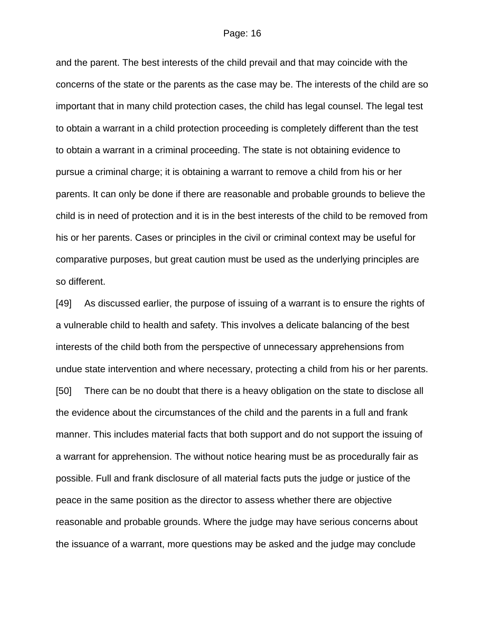and the parent. The best interests of the child prevail and that may coincide with the concerns of the state or the parents as the case may be. The interests of the child are so important that in many child protection cases, the child has legal counsel. The legal test to obtain a warrant in a child protection proceeding is completely different than the test to obtain a warrant in a criminal proceeding. The state is not obtaining evidence to pursue a criminal charge; it is obtaining a warrant to remove a child from his or her parents. It can only be done if there are reasonable and probable grounds to believe the child is in need of protection and it is in the best interests of the child to be removed from his or her parents. Cases or principles in the civil or criminal context may be useful for comparative purposes, but great caution must be used as the underlying principles are so different.

[49] As discussed earlier, the purpose of issuing of a warrant is to ensure the rights of a vulnerable child to health and safety. This involves a delicate balancing of the best interests of the child both from the perspective of unnecessary apprehensions from undue state intervention and where necessary, protecting a child from his or her parents. [50] There can be no doubt that there is a heavy obligation on the state to disclose all the evidence about the circumstances of the child and the parents in a full and frank manner. This includes material facts that both support and do not support the issuing of a warrant for apprehension. The without notice hearing must be as procedurally fair as possible. Full and frank disclosure of all material facts puts the judge or justice of the peace in the same position as the director to assess whether there are objective reasonable and probable grounds. Where the judge may have serious concerns about the issuance of a warrant, more questions may be asked and the judge may conclude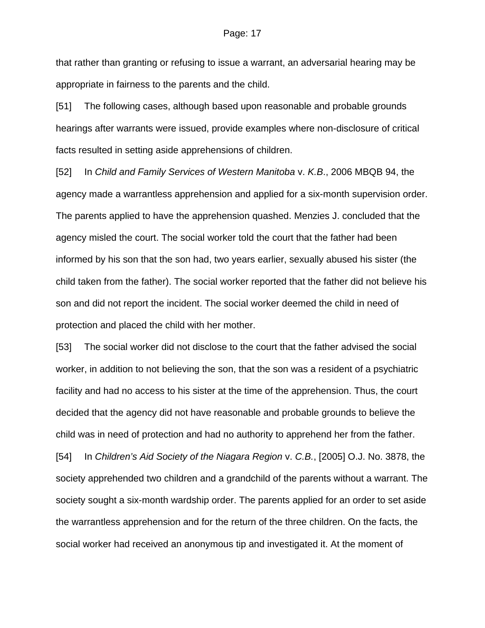that rather than granting or refusing to issue a warrant, an adversarial hearing may be appropriate in fairness to the parents and the child.

[51] The following cases, although based upon reasonable and probable grounds hearings after warrants were issued, provide examples where non-disclosure of critical facts resulted in setting aside apprehensions of children.

[52] In *Child and Family Services of Western Manitoba* v. *K.B*., 2006 MBQB 94, the agency made a warrantless apprehension and applied for a six-month supervision order. The parents applied to have the apprehension quashed. Menzies J. concluded that the agency misled the court. The social worker told the court that the father had been informed by his son that the son had, two years earlier, sexually abused his sister (the child taken from the father). The social worker reported that the father did not believe his son and did not report the incident. The social worker deemed the child in need of protection and placed the child with her mother.

[53] The social worker did not disclose to the court that the father advised the social worker, in addition to not believing the son, that the son was a resident of a psychiatric facility and had no access to his sister at the time of the apprehension. Thus, the court decided that the agency did not have reasonable and probable grounds to believe the child was in need of protection and had no authority to apprehend her from the father.

[54] In *Children's Aid Society of the Niagara Region* v. *C.B.*, [2005] O.J. No. 3878, the society apprehended two children and a grandchild of the parents without a warrant. The society sought a six-month wardship order. The parents applied for an order to set aside the warrantless apprehension and for the return of the three children. On the facts, the social worker had received an anonymous tip and investigated it. At the moment of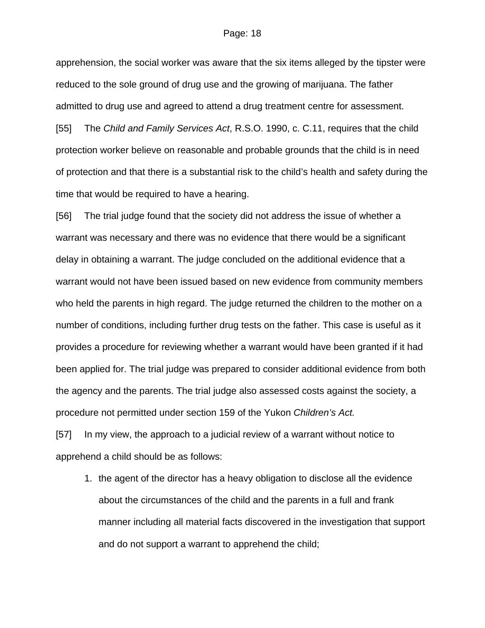apprehension, the social worker was aware that the six items alleged by the tipster were reduced to the sole ground of drug use and the growing of marijuana. The father admitted to drug use and agreed to attend a drug treatment centre for assessment.

[55] The *Child and Family Services Act*, R.S.O. 1990, c. C.11, requires that the child protection worker believe on reasonable and probable grounds that the child is in need of protection and that there is a substantial risk to the child's health and safety during the time that would be required to have a hearing.

[56] The trial judge found that the society did not address the issue of whether a warrant was necessary and there was no evidence that there would be a significant delay in obtaining a warrant. The judge concluded on the additional evidence that a warrant would not have been issued based on new evidence from community members who held the parents in high regard. The judge returned the children to the mother on a number of conditions, including further drug tests on the father. This case is useful as it provides a procedure for reviewing whether a warrant would have been granted if it had been applied for. The trial judge was prepared to consider additional evidence from both the agency and the parents. The trial judge also assessed costs against the society, a procedure not permitted under section 159 of the Yukon *Children's Act.*

[57] In my view, the approach to a judicial review of a warrant without notice to apprehend a child should be as follows:

1. the agent of the director has a heavy obligation to disclose all the evidence about the circumstances of the child and the parents in a full and frank manner including all material facts discovered in the investigation that support and do not support a warrant to apprehend the child;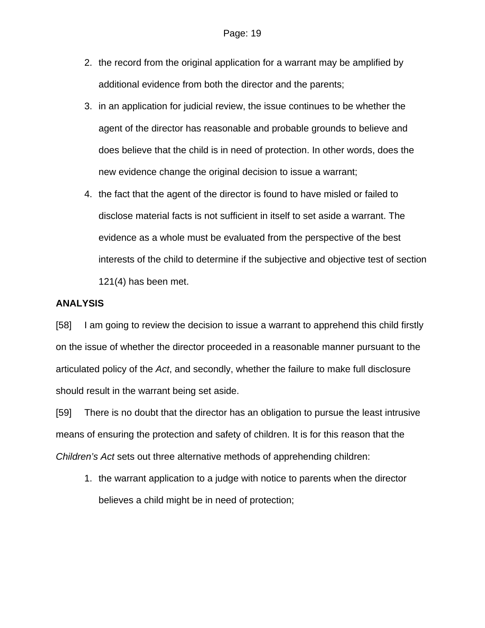- 2. the record from the original application for a warrant may be amplified by additional evidence from both the director and the parents;
- 3. in an application for judicial review, the issue continues to be whether the agent of the director has reasonable and probable grounds to believe and does believe that the child is in need of protection. In other words, does the new evidence change the original decision to issue a warrant;
- 4. the fact that the agent of the director is found to have misled or failed to disclose material facts is not sufficient in itself to set aside a warrant. The evidence as a whole must be evaluated from the perspective of the best interests of the child to determine if the subjective and objective test of section 121(4) has been met.

### **ANALYSIS**

[58] I am going to review the decision to issue a warrant to apprehend this child firstly on the issue of whether the director proceeded in a reasonable manner pursuant to the articulated policy of the *Act*, and secondly, whether the failure to make full disclosure should result in the warrant being set aside.

[59] There is no doubt that the director has an obligation to pursue the least intrusive means of ensuring the protection and safety of children. It is for this reason that the *Children's Act* sets out three alternative methods of apprehending children:

1. the warrant application to a judge with notice to parents when the director believes a child might be in need of protection;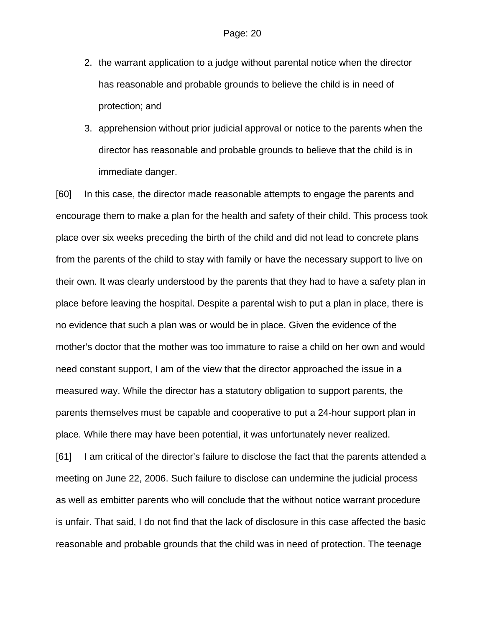- 2. the warrant application to a judge without parental notice when the director has reasonable and probable grounds to believe the child is in need of protection; and
- 3. apprehension without prior judicial approval or notice to the parents when the director has reasonable and probable grounds to believe that the child is in immediate danger.

[60] In this case, the director made reasonable attempts to engage the parents and encourage them to make a plan for the health and safety of their child. This process took place over six weeks preceding the birth of the child and did not lead to concrete plans from the parents of the child to stay with family or have the necessary support to live on their own. It was clearly understood by the parents that they had to have a safety plan in place before leaving the hospital. Despite a parental wish to put a plan in place, there is no evidence that such a plan was or would be in place. Given the evidence of the mother's doctor that the mother was too immature to raise a child on her own and would need constant support, I am of the view that the director approached the issue in a measured way. While the director has a statutory obligation to support parents, the parents themselves must be capable and cooperative to put a 24-hour support plan in place. While there may have been potential, it was unfortunately never realized.

[61] I am critical of the director's failure to disclose the fact that the parents attended a meeting on June 22, 2006. Such failure to disclose can undermine the judicial process as well as embitter parents who will conclude that the without notice warrant procedure is unfair. That said, I do not find that the lack of disclosure in this case affected the basic reasonable and probable grounds that the child was in need of protection. The teenage